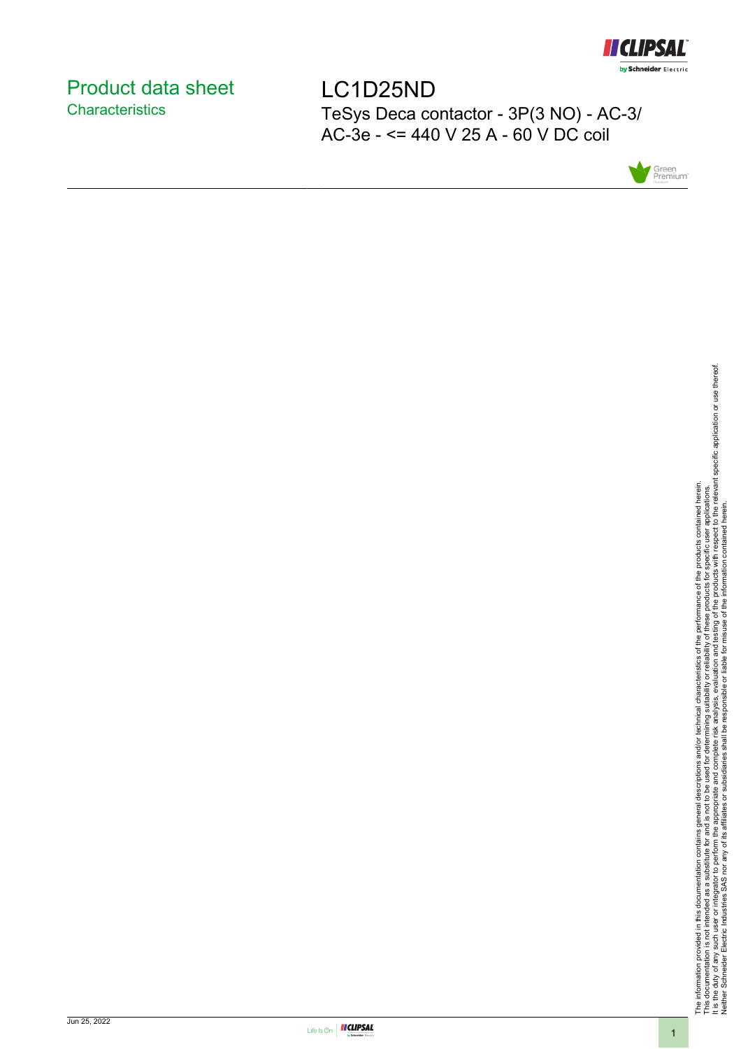

# <span id="page-0-0"></span>Product data sheet **Characteristics**

LC1D25ND TeSys Deca contactor - 3P(3 NO) - AC-3/ AC-3e - <= 440 V 25 A - 60 V DC coil



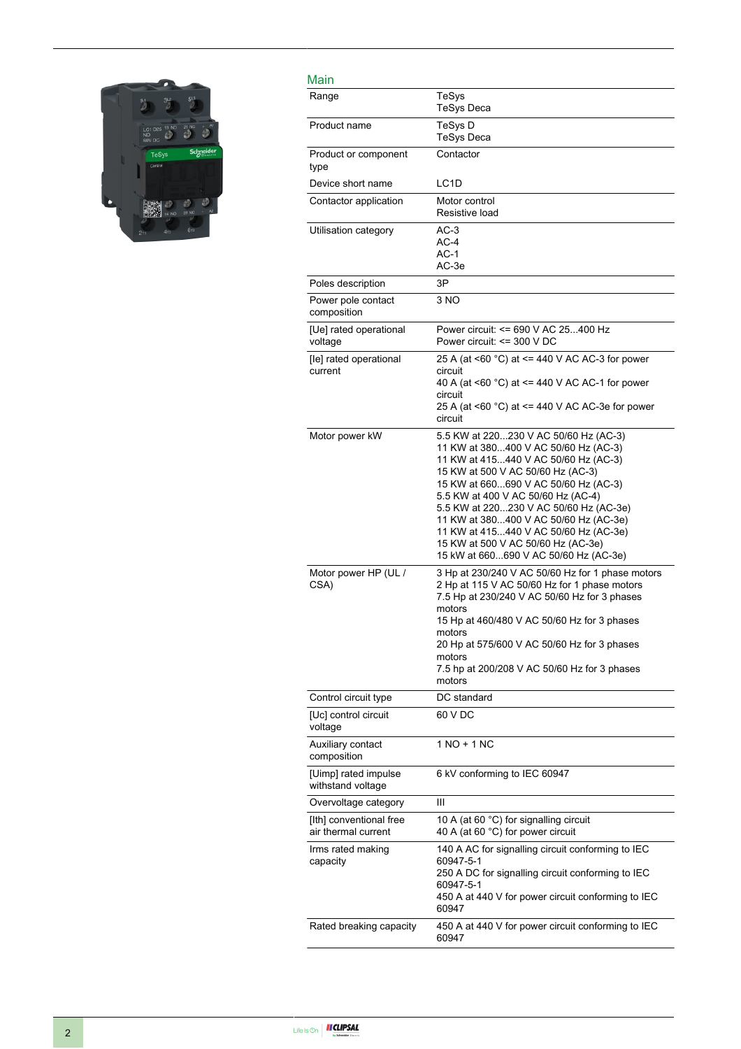

| Main                                           |                                                                                                                                                                                                                                                                                                                                                                                                                                                     |
|------------------------------------------------|-----------------------------------------------------------------------------------------------------------------------------------------------------------------------------------------------------------------------------------------------------------------------------------------------------------------------------------------------------------------------------------------------------------------------------------------------------|
| Range                                          | TeSys<br><b>TeSys Deca</b>                                                                                                                                                                                                                                                                                                                                                                                                                          |
| Product name                                   | TeSys D<br><b>TeSys Deca</b>                                                                                                                                                                                                                                                                                                                                                                                                                        |
| Product or component<br>type                   | Contactor                                                                                                                                                                                                                                                                                                                                                                                                                                           |
| Device short name                              | LC <sub>1</sub> D                                                                                                                                                                                                                                                                                                                                                                                                                                   |
| Contactor application                          | Motor control<br>Resistive load                                                                                                                                                                                                                                                                                                                                                                                                                     |
| Utilisation category                           | $AC-3$<br>$AC-4$<br>$AC-1$<br>AC-3e                                                                                                                                                                                                                                                                                                                                                                                                                 |
| Poles description                              | 3P                                                                                                                                                                                                                                                                                                                                                                                                                                                  |
| Power pole contact<br>composition              | 3 NO                                                                                                                                                                                                                                                                                                                                                                                                                                                |
| [Ue] rated operational<br>voltage              | Power circuit: <= 690 V AC 25400 Hz<br>Power circuit: $\leq$ 300 V DC                                                                                                                                                                                                                                                                                                                                                                               |
| [le] rated operational<br>current              | 25 A (at <60 °C) at <= 440 V AC AC-3 for power<br>circuit<br>40 A (at <60 °C) at <= 440 V AC AC-1 for power<br>circuit<br>25 A (at <60 $^{\circ}$ C) at <= 440 V AC AC-3e for power<br>circuit                                                                                                                                                                                                                                                      |
| Motor power kW                                 | 5.5 KW at 220230 V AC 50/60 Hz (AC-3)<br>11 KW at 380400 V AC 50/60 Hz (AC-3)<br>11 KW at 415440 V AC 50/60 Hz (AC-3)<br>15 KW at 500 V AC 50/60 Hz (AC-3)<br>15 KW at 660690 V AC 50/60 Hz (AC-3)<br>5.5 KW at 400 V AC 50/60 Hz (AC-4)<br>5.5 KW at 220230 V AC 50/60 Hz (AC-3e)<br>11 KW at 380400 V AC 50/60 Hz (AC-3e)<br>11 KW at 415440 V AC 50/60 Hz (AC-3e)<br>15 KW at 500 V AC 50/60 Hz (AC-3e)<br>15 kW at 660690 V AC 50/60 Hz (AC-3e) |
| Motor power HP (UL /<br>CSA)                   | 3 Hp at 230/240 V AC 50/60 Hz for 1 phase motors<br>2 Hp at 115 V AC 50/60 Hz for 1 phase motors<br>7.5 Hp at 230/240 V AC 50/60 Hz for 3 phases<br>motors<br>15 Hp at 460/480 V AC 50/60 Hz for 3 phases<br>motors<br>20 Hp at 575/600 V AC 50/60 Hz for 3 phases<br>motors<br>7.5 hp at 200/208 V AC 50/60 Hz for 3 phases<br>motors                                                                                                              |
| Control circuit type                           | DC standard                                                                                                                                                                                                                                                                                                                                                                                                                                         |
| [Uc] control circuit<br>voltage                | 60 V DC                                                                                                                                                                                                                                                                                                                                                                                                                                             |
| Auxiliary contact<br>composition               | $1 NQ + 1 NC$                                                                                                                                                                                                                                                                                                                                                                                                                                       |
| [Uimp] rated impulse<br>withstand voltage      | 6 kV conforming to IEC 60947                                                                                                                                                                                                                                                                                                                                                                                                                        |
| Overvoltage category                           | Ш                                                                                                                                                                                                                                                                                                                                                                                                                                                   |
| [Ith] conventional free<br>air thermal current | 10 A (at 60 °C) for signalling circuit<br>40 A (at 60 °C) for power circuit                                                                                                                                                                                                                                                                                                                                                                         |
| Irms rated making<br>capacity                  | 140 A AC for signalling circuit conforming to IEC<br>60947-5-1<br>250 A DC for signalling circuit conforming to IEC<br>60947-5-1<br>450 A at 440 V for power circuit conforming to IEC<br>60947                                                                                                                                                                                                                                                     |
| Rated breaking capacity                        | 450 A at 440 V for power circuit conforming to IEC<br>60947                                                                                                                                                                                                                                                                                                                                                                                         |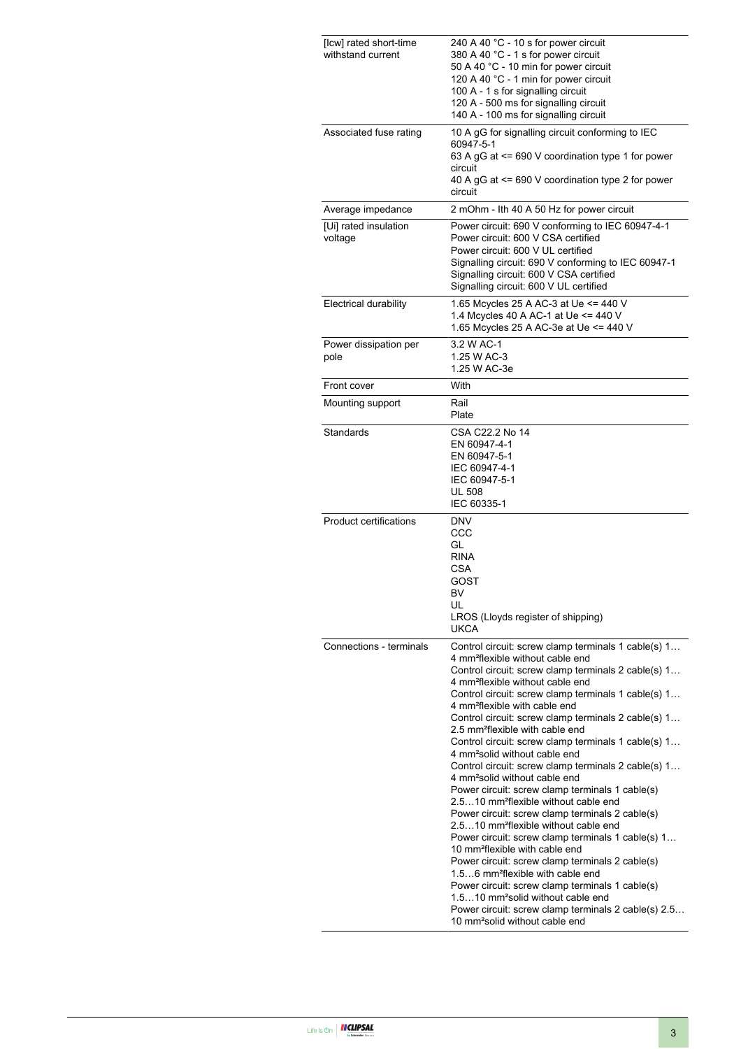| [Icw] rated short-time<br>withstand current | 240 A 40 °C - 10 s for power circuit<br>380 A 40 °C - 1 s for power circuit<br>50 A 40 °C - 10 min for power circuit<br>120 A 40 °C - 1 min for power circuit<br>100 A - 1 s for signalling circuit<br>120 A - 500 ms for signalling circuit<br>140 A - 100 ms for signalling circuit                                                                                                                                                                                                                                                                                                                                                                                                                                                                                                                                                                                                                                                                                                                                                                                                                                                                                                                                                                     |
|---------------------------------------------|-----------------------------------------------------------------------------------------------------------------------------------------------------------------------------------------------------------------------------------------------------------------------------------------------------------------------------------------------------------------------------------------------------------------------------------------------------------------------------------------------------------------------------------------------------------------------------------------------------------------------------------------------------------------------------------------------------------------------------------------------------------------------------------------------------------------------------------------------------------------------------------------------------------------------------------------------------------------------------------------------------------------------------------------------------------------------------------------------------------------------------------------------------------------------------------------------------------------------------------------------------------|
| Associated fuse rating                      | 10 A gG for signalling circuit conforming to IEC<br>60947-5-1<br>63 A gG at $\leq$ 690 V coordination type 1 for power<br>circuit<br>40 A gG at <= 690 V coordination type 2 for power<br>circuit                                                                                                                                                                                                                                                                                                                                                                                                                                                                                                                                                                                                                                                                                                                                                                                                                                                                                                                                                                                                                                                         |
| Average impedance                           | 2 mOhm - Ith 40 A 50 Hz for power circuit                                                                                                                                                                                                                                                                                                                                                                                                                                                                                                                                                                                                                                                                                                                                                                                                                                                                                                                                                                                                                                                                                                                                                                                                                 |
| [Ui] rated insulation<br>voltage            | Power circuit: 690 V conforming to IEC 60947-4-1<br>Power circuit: 600 V CSA certified<br>Power circuit: 600 V UL certified<br>Signalling circuit: 690 V conforming to IEC 60947-1<br>Signalling circuit: 600 V CSA certified<br>Signalling circuit: 600 V UL certified                                                                                                                                                                                                                                                                                                                                                                                                                                                                                                                                                                                                                                                                                                                                                                                                                                                                                                                                                                                   |
| <b>Electrical durability</b>                | 1.65 Mcycles 25 A AC-3 at Ue <= 440 V<br>1.4 Mcycles 40 A AC-1 at Ue <= 440 V<br>1.65 Mcycles 25 A AC-3e at Ue <= 440 V                                                                                                                                                                                                                                                                                                                                                                                                                                                                                                                                                                                                                                                                                                                                                                                                                                                                                                                                                                                                                                                                                                                                   |
| Power dissipation per<br>pole               | 3.2 W AC-1<br>1.25 W AC-3<br>1.25 W AC-3e                                                                                                                                                                                                                                                                                                                                                                                                                                                                                                                                                                                                                                                                                                                                                                                                                                                                                                                                                                                                                                                                                                                                                                                                                 |
| Front cover                                 | With                                                                                                                                                                                                                                                                                                                                                                                                                                                                                                                                                                                                                                                                                                                                                                                                                                                                                                                                                                                                                                                                                                                                                                                                                                                      |
| Mounting support                            | Rail<br>Plate                                                                                                                                                                                                                                                                                                                                                                                                                                                                                                                                                                                                                                                                                                                                                                                                                                                                                                                                                                                                                                                                                                                                                                                                                                             |
| Standards                                   | CSA C22.2 No 14<br>EN 60947-4-1<br>EN 60947-5-1<br>IEC 60947-4-1<br>IEC 60947-5-1<br><b>UL 508</b><br>IEC 60335-1                                                                                                                                                                                                                                                                                                                                                                                                                                                                                                                                                                                                                                                                                                                                                                                                                                                                                                                                                                                                                                                                                                                                         |
| <b>Product certifications</b>               | <b>DNV</b><br>CCC<br>GL<br><b>RINA</b><br>CSA<br>GOST<br>BV.<br>UL<br>LROS (Lloyds register of shipping)<br><b>UKCA</b>                                                                                                                                                                                                                                                                                                                                                                                                                                                                                                                                                                                                                                                                                                                                                                                                                                                                                                                                                                                                                                                                                                                                   |
| Connections - terminals                     | Control circuit: screw clamp terminals 1 cable(s) 1<br>4 mm <sup>2</sup> flexible without cable end<br>Control circuit: screw clamp terminals 2 cable(s) 1<br>4 mm <sup>2</sup> flexible without cable end<br>Control circuit: screw clamp terminals 1 cable(s) 1<br>4 mm <sup>2</sup> flexible with cable end<br>Control circuit: screw clamp terminals 2 cable(s) 1<br>2.5 mm <sup>2</sup> flexible with cable end<br>Control circuit: screw clamp terminals 1 cable(s) 1<br>4 mm <sup>2</sup> solid without cable end<br>Control circuit: screw clamp terminals 2 cable(s) 1<br>4 mm <sup>2</sup> solid without cable end<br>Power circuit: screw clamp terminals 1 cable(s)<br>2.510 mm <sup>2</sup> flexible without cable end<br>Power circuit: screw clamp terminals 2 cable(s)<br>2.510 mm <sup>2</sup> flexible without cable end<br>Power circuit: screw clamp terminals 1 cable(s) 1<br>10 mm <sup>2</sup> flexible with cable end<br>Power circuit: screw clamp terminals 2 cable(s)<br>1.56 mm <sup>2</sup> flexible with cable end<br>Power circuit: screw clamp terminals 1 cable(s)<br>1.510 mm <sup>2</sup> solid without cable end<br>Power circuit: screw clamp terminals 2 cable(s) 2.5<br>10 mm <sup>2</sup> solid without cable end |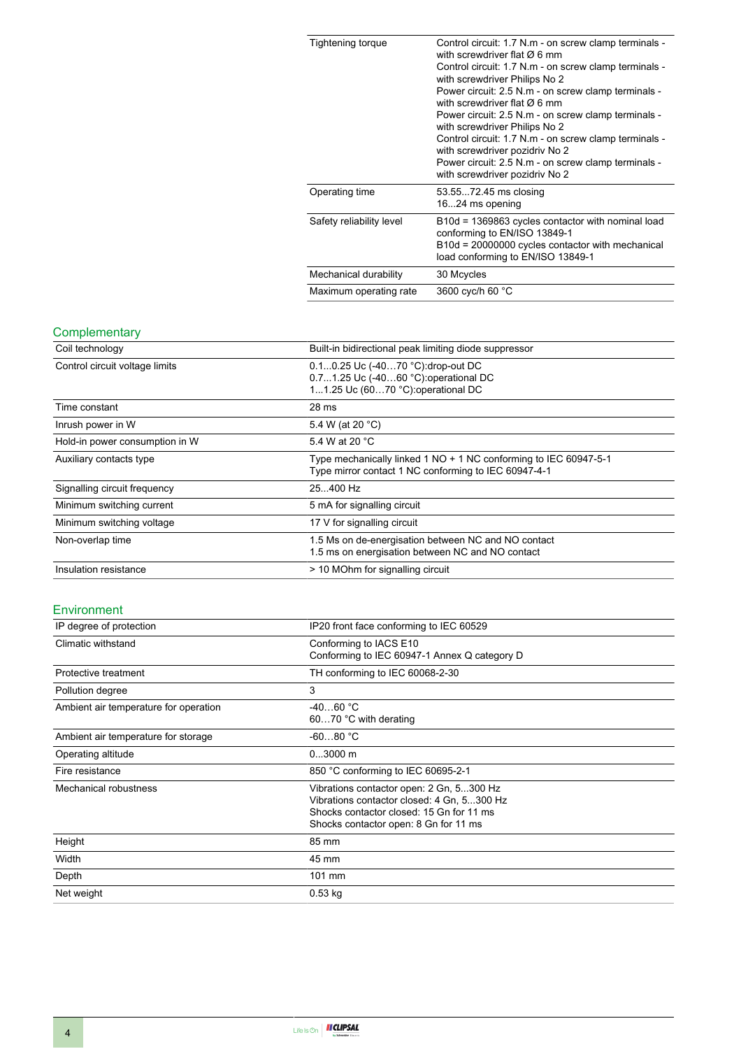| Tightening torque        | Control circuit: 1.7 N.m - on screw clamp terminals -<br>with screwdriver flat $\varnothing$ 6 mm<br>Control circuit: 1.7 N.m - on screw clamp terminals -<br>with screwdriver Philips No 2<br>Power circuit: 2.5 N.m - on screw clamp terminals -<br>with screwdriver flat $\varnothing$ 6 mm<br>Power circuit: 2.5 N.m - on screw clamp terminals -<br>with screwdriver Philips No 2<br>Control circuit: 1.7 N.m - on screw clamp terminals -<br>with screwdriver pozidriv No 2<br>Power circuit: 2.5 N.m - on screw clamp terminals -<br>with screwdriver pozidriv No 2 |
|--------------------------|----------------------------------------------------------------------------------------------------------------------------------------------------------------------------------------------------------------------------------------------------------------------------------------------------------------------------------------------------------------------------------------------------------------------------------------------------------------------------------------------------------------------------------------------------------------------------|
| Operating time           | 53.5572.45 ms closing<br>1624 ms opening                                                                                                                                                                                                                                                                                                                                                                                                                                                                                                                                   |
| Safety reliability level | B10d = 1369863 cycles contactor with nominal load<br>conforming to EN/ISO 13849-1<br>B10d = 20000000 cycles contactor with mechanical<br>load conforming to EN/ISO 13849-1                                                                                                                                                                                                                                                                                                                                                                                                 |
| Mechanical durability    | 30 Mcycles                                                                                                                                                                                                                                                                                                                                                                                                                                                                                                                                                                 |
| Maximum operating rate   | 3600 cyc/h 60 °C                                                                                                                                                                                                                                                                                                                                                                                                                                                                                                                                                           |

#### **Complementary**

| Coil technology                | Built-in bidirectional peak limiting diode suppressor                                                                    |
|--------------------------------|--------------------------------------------------------------------------------------------------------------------------|
| Control circuit voltage limits | 0.10.25 Uc (-4070 °C):drop-out DC<br>0.71.25 Uc (-4060 °C): operational DC<br>11.25 Uc (6070 °C): operational DC         |
| Time constant                  | 28 <sub>ms</sub>                                                                                                         |
| Inrush power in W              | 5.4 W (at 20 °C)                                                                                                         |
| Hold-in power consumption in W | 5.4 W at 20 °C                                                                                                           |
| Auxiliary contacts type        | Type mechanically linked 1 NO + 1 NC conforming to IEC 60947-5-1<br>Type mirror contact 1 NC conforming to IEC 60947-4-1 |
| Signalling circuit frequency   | 25400 Hz                                                                                                                 |
| Minimum switching current      | 5 mA for signalling circuit                                                                                              |
| Minimum switching voltage      | 17 V for signalling circuit                                                                                              |
| Non-overlap time               | 1.5 Ms on de-energisation between NC and NO contact<br>1.5 ms on energisation between NC and NO contact                  |
| Insulation resistance          | > 10 MOhm for signalling circuit                                                                                         |

## Environment

| IP degree of protection               | IP20 front face conforming to IEC 60529                                                                                                                                     |  |
|---------------------------------------|-----------------------------------------------------------------------------------------------------------------------------------------------------------------------------|--|
| Climatic withstand                    | Conforming to IACS E10<br>Conforming to IEC 60947-1 Annex Q category D                                                                                                      |  |
| Protective treatment                  | TH conforming to IEC 60068-2-30                                                                                                                                             |  |
| Pollution degree                      | 3                                                                                                                                                                           |  |
| Ambient air temperature for operation | $-4060 °C$<br>6070 °C with derating                                                                                                                                         |  |
| Ambient air temperature for storage   | $-6080 °C$                                                                                                                                                                  |  |
| Operating altitude                    | $03000$ m                                                                                                                                                                   |  |
| Fire resistance                       | 850 °C conforming to IEC 60695-2-1                                                                                                                                          |  |
| Mechanical robustness                 | Vibrations contactor open: 2 Gn, 5300 Hz<br>Vibrations contactor closed: 4 Gn, 5300 Hz<br>Shocks contactor closed: 15 Gn for 11 ms<br>Shocks contactor open: 8 Gn for 11 ms |  |
| Height                                | 85 mm                                                                                                                                                                       |  |
| Width                                 | 45 mm                                                                                                                                                                       |  |
| Depth                                 | 101 mm                                                                                                                                                                      |  |
| Net weight                            | $0.53$ kg                                                                                                                                                                   |  |